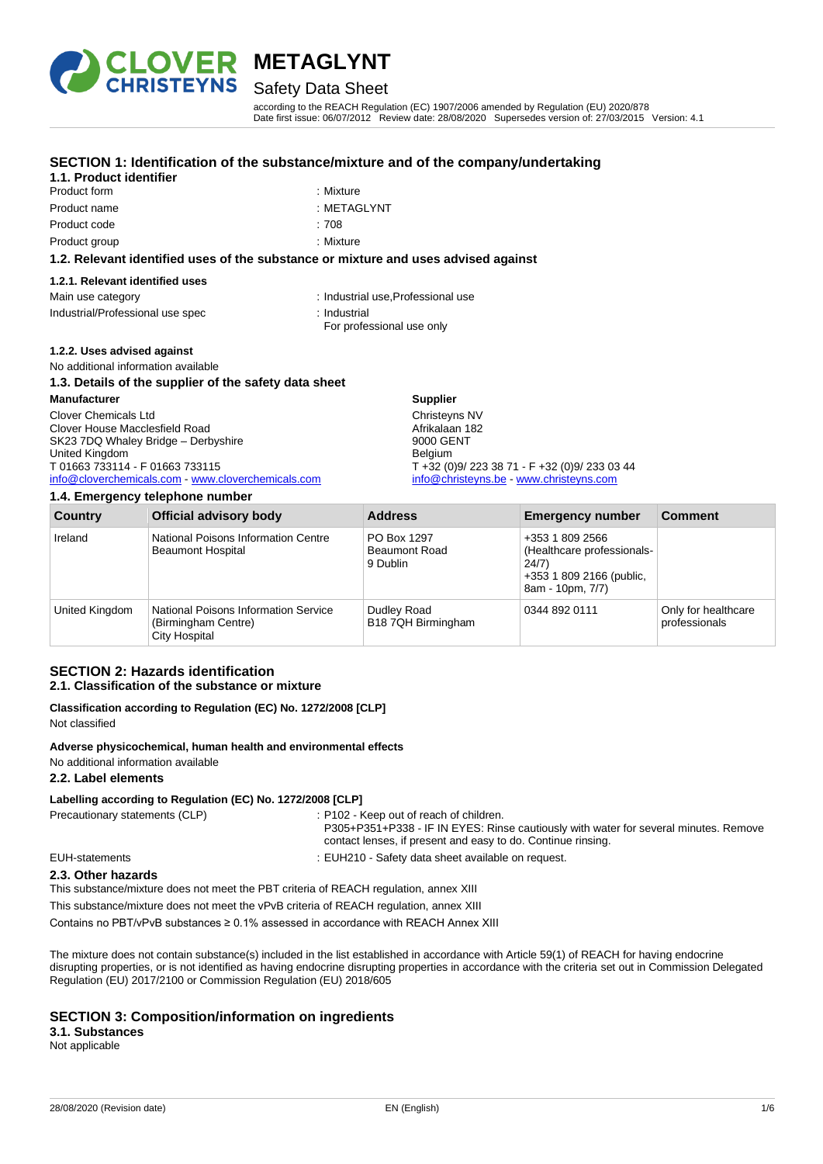

# Safety Data Sheet

according to the REACH Regulation (EC) 1907/2006 amended by Regulation (EU) 2020/878 Date first issue: 06/07/2012 Review date: 28/08/2020 Supersedes version of: 27/03/2015 Version: 4.1

# **SECTION 1: Identification of the substance/mixture and of the company/undertaking**

# **1.1. Product identifier**

- Product form **: Mixture** : Mixture Product name : METAGLYNT Product code : 708
	-
	-
- Product group : Mixture

## **1.2. Relevant identified uses of the substance or mixture and uses advised against**

| 1.2.1. Relevant identified uses  |                                    |
|----------------------------------|------------------------------------|
| Main use category                | : Industrial use, Professional use |
| Industrial/Professional use spec | : Industrial                       |
|                                  | For professional use only          |

## **1.2.2. Uses advised against**

# No additional information available

## **1.3. Details of the supplier of the safety data sheet**

#### **Manufacturer** Clover Chemicals Ltd Clover House Macclesfield Road SK23 7DQ Whaley Bridge – Derbyshire United Kingdom T 01663 733114 - F 01663 733115 [info@cloverchemicals.com](mailto:info@cloverchemicals.com) - [www.cloverchemicals.com](http://www.cloverchemicals.com/) **Supplier** Christeyns NV Afrikalaan 182 9000 GENT Belgium T +32 (0)9/ 223 38 71 - F +32 (0)9/ 233 03 44 [info@christeyns.be](mailto:info@christeyns.be) - [www.christeyns.com](http://www.christeyns.com/)

#### **1.4. Emergency telephone number**

| $\cdots$ = $\cdots$ , gono $\cdots$ , $\cdots$ , $\cdots$ , $\cdots$ , $\cdots$ |                                                                              |                                                 |                                                                                                        |                                      |
|---------------------------------------------------------------------------------|------------------------------------------------------------------------------|-------------------------------------------------|--------------------------------------------------------------------------------------------------------|--------------------------------------|
| Country                                                                         | <b>Official advisory body</b>                                                | <b>Address</b>                                  | <b>Emergency number</b>                                                                                | <b>Comment</b>                       |
| Ireland                                                                         | National Poisons Information Centre<br><b>Beaumont Hospital</b>              | PO Box 1297<br><b>Beaumont Road</b><br>9 Dublin | +353 1 809 2566<br>(Healthcare professionals-<br>24/7)<br>+353 1 809 2166 (public,<br>8am - 10pm, 7/7) |                                      |
| United Kingdom                                                                  | National Poisons Information Service<br>(Birmingham Centre)<br>City Hospital | Dudley Road<br>B18 7QH Birmingham               | 0344 892 0111                                                                                          | Only for healthcare<br>professionals |

# **SECTION 2: Hazards identification**

## **2.1. Classification of the substance or mixture**

**Classification according to Regulation (EC) No. 1272/2008 [CLP]** Not classified

#### **Adverse physicochemical, human health and environmental effects**

No additional information available

## **2.2. Label elements**

## **Labelling according to Regulation (EC) No. 1272/2008 [CLP]**

Precautionary statements (CLP) : P102 - Keep out of reach of children.

P305+P351+P338 - IF IN EYES: Rinse cautiously with water for several minutes. Remove contact lenses, if present and easy to do. Continue rinsing.

EUH-statements : EUH210 - Safety data sheet available on request.

# **2.3. Other hazards**

This substance/mixture does not meet the PBT criteria of REACH regulation, annex XIII

This substance/mixture does not meet the vPvB criteria of REACH regulation, annex XIII

Contains no PBT/vPvB substances ≥ 0.1% assessed in accordance with REACH Annex XIII

The mixture does not contain substance(s) included in the list established in accordance with Article 59(1) of REACH for having endocrine disrupting properties, or is not identified as having endocrine disrupting properties in accordance with the criteria set out in Commission Delegated Regulation (EU) 2017/2100 or Commission Regulation (EU) 2018/605

## **SECTION 3: Composition/information on ingredients**

# **3.1. Substances**

Not applicable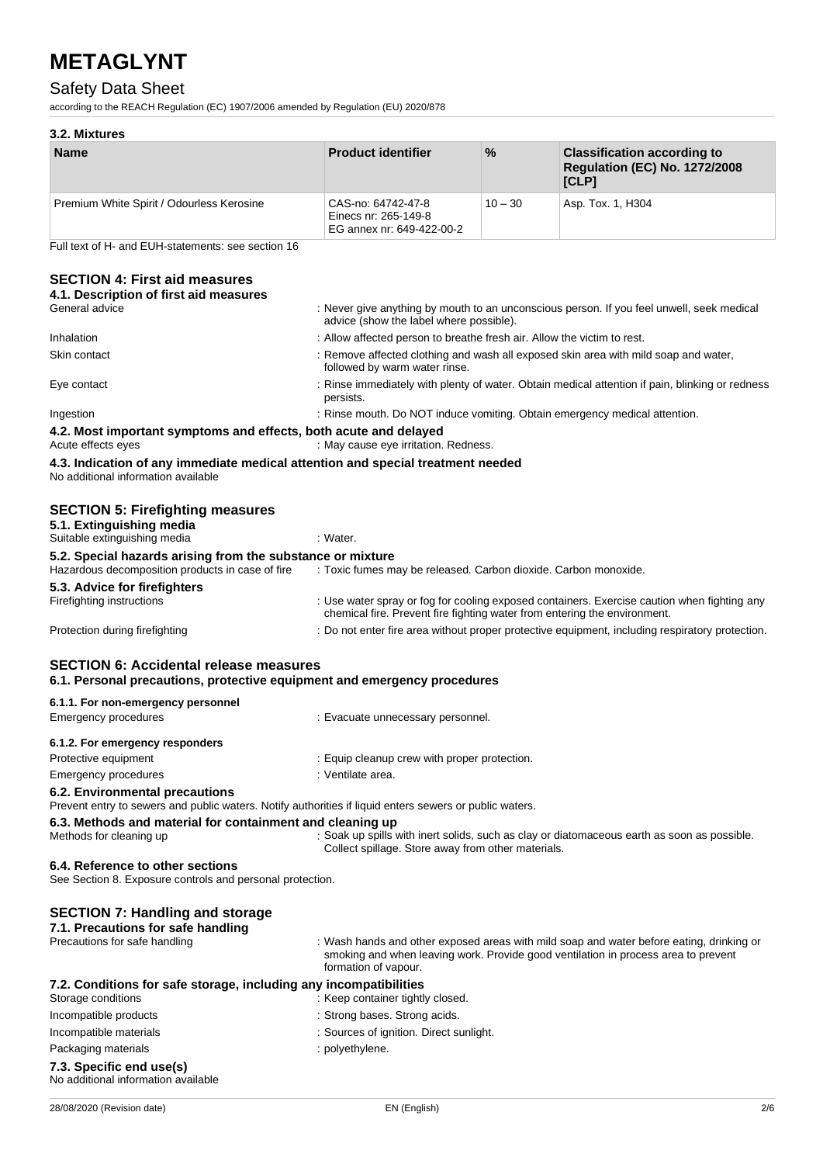# Safety Data Sheet

according to the REACH Regulation (EC) 1907/2006 amended by Regulation (EU) 2020/878

# **3.2. Mixtures**

| <b>Name</b>                               | <b>Product identifier</b>                                               | $\%$      | <b>Classification according to</b><br><b>Regulation (EC) No. 1272/2008</b><br>[CLP] |
|-------------------------------------------|-------------------------------------------------------------------------|-----------|-------------------------------------------------------------------------------------|
| Premium White Spirit / Odourless Kerosine | CAS-no: 64742-47-8<br>Einecs nr: 265-149-8<br>EG annex nr: 649-422-00-2 | $10 - 30$ | Asp. Tox. 1, H304                                                                   |

Full text of H- and EUH-statements: see section 16

# **SECTION 4: First aid measures**

| 4.1. Description of first aid measures                                                                                                    |                                                                                                                                                                          |
|-------------------------------------------------------------------------------------------------------------------------------------------|--------------------------------------------------------------------------------------------------------------------------------------------------------------------------|
| General advice                                                                                                                            | : Never give anything by mouth to an unconscious person. If you feel unwell, seek medical<br>advice (show the label where possible).                                     |
| Inhalation                                                                                                                                | : Allow affected person to breathe fresh air. Allow the victim to rest.                                                                                                  |
| Skin contact                                                                                                                              | : Remove affected clothing and wash all exposed skin area with mild soap and water,<br>followed by warm water rinse.                                                     |
| Eye contact                                                                                                                               | : Rinse immediately with plenty of water. Obtain medical attention if pain, blinking or redness<br>persists.                                                             |
| Ingestion                                                                                                                                 | : Rinse mouth. Do NOT induce vomiting. Obtain emergency medical attention.                                                                                               |
| 4.2. Most important symptoms and effects, both acute and delayed                                                                          |                                                                                                                                                                          |
| Acute effects eyes                                                                                                                        | : May cause eye irritation. Redness.                                                                                                                                     |
| 4.3. Indication of any immediate medical attention and special treatment needed<br>No additional information available                    |                                                                                                                                                                          |
| <b>SECTION 5: Firefighting measures</b><br>5.1. Extinguishing media                                                                       |                                                                                                                                                                          |
| Suitable extinguishing media                                                                                                              | : Water.                                                                                                                                                                 |
| 5.2. Special hazards arising from the substance or mixture<br>Hazardous decomposition products in case of fire                            | : Toxic fumes may be released. Carbon dioxide. Carbon monoxide.                                                                                                          |
| 5.3. Advice for firefighters                                                                                                              |                                                                                                                                                                          |
| Firefighting instructions                                                                                                                 | : Use water spray or fog for cooling exposed containers. Exercise caution when fighting any<br>chemical fire. Prevent fire fighting water from entering the environment. |
| Protection during firefighting                                                                                                            | : Do not enter fire area without proper protective equipment, including respiratory protection.                                                                          |
| <b>SECTION 6: Accidental release measures</b><br>6.1. Personal precautions, protective equipment and emergency procedures                 |                                                                                                                                                                          |
| 6.1.1. For non-emergency personnel                                                                                                        |                                                                                                                                                                          |
| <b>Emergency procedures</b>                                                                                                               | : Evacuate unnecessary personnel.                                                                                                                                        |
| 6.1.2. For emergency responders                                                                                                           |                                                                                                                                                                          |
| Protective equipment                                                                                                                      | : Equip cleanup crew with proper protection.                                                                                                                             |
| Emergency procedures                                                                                                                      | : Ventilate area.                                                                                                                                                        |
| 6.2. Environmental precautions<br>Prevent entry to sewers and public waters. Notify authorities if liquid enters sewers or public waters. |                                                                                                                                                                          |
| 6.3. Methods and material for containment and cleaning up                                                                                 |                                                                                                                                                                          |
| Methods for cleaning up                                                                                                                   | : Soak up spills with inert solids, such as clay or diatomaceous earth as soon as possible.<br>Collect spillage. Store away from other materials.                        |
| 6.4. Reference to other sections                                                                                                          |                                                                                                                                                                          |

|  |  | See Section 8. Exposure controls and personal protection. |  |
|--|--|-----------------------------------------------------------|--|
|  |  |                                                           |  |

| <b>SECTION 7: Handling and storage</b>                            |                                                                                                                                                                                                        |
|-------------------------------------------------------------------|--------------------------------------------------------------------------------------------------------------------------------------------------------------------------------------------------------|
| 7.1. Precautions for safe handling                                |                                                                                                                                                                                                        |
| Precautions for safe handling                                     | : Wash hands and other exposed areas with mild soap and water before eating, drinking or<br>smoking and when leaving work. Provide good ventilation in process area to prevent<br>formation of vapour. |
| 7.2. Conditions for safe storage, including any incompatibilities |                                                                                                                                                                                                        |
| Storage conditions                                                | : Keep container tightly closed.                                                                                                                                                                       |
| Incompatible products                                             | : Strong bases. Strong acids.                                                                                                                                                                          |
| Incompatible materials                                            | : Sources of ignition. Direct sunlight.                                                                                                                                                                |
| Packaging materials                                               | : polyethylene.                                                                                                                                                                                        |
| 7.3. Specific end use(s)                                          |                                                                                                                                                                                                        |
| No additional information available                               |                                                                                                                                                                                                        |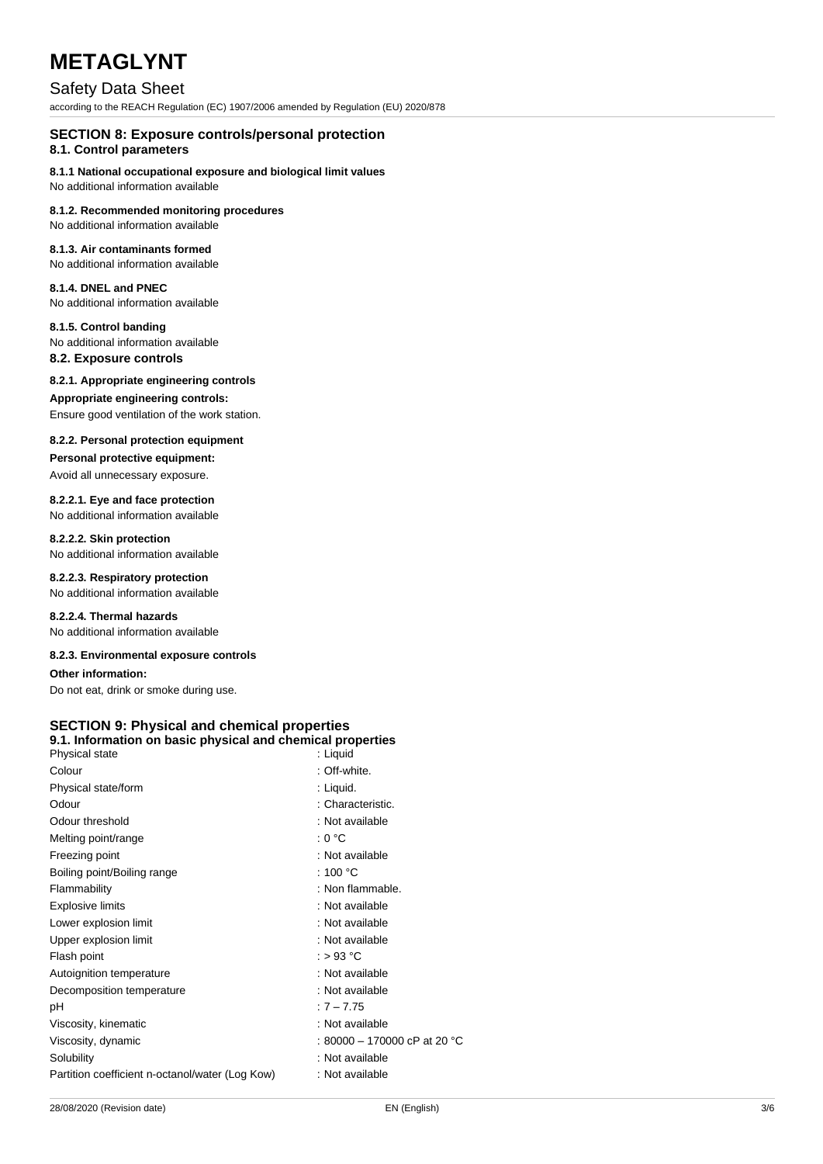# Safety Data Sheet

according to the REACH Regulation (EC) 1907/2006 amended by Regulation (EU) 2020/878

# **SECTION 8: Exposure controls/personal protection**

# **8.1. Control parameters**

**8.1.1 National occupational exposure and biological limit values**

No additional information available

#### **8.1.2. Recommended monitoring procedures** No additional information available

# **8.1.3. Air contaminants formed**

No additional information available

#### **8.1.4. DNEL and PNEC** No additional information available

**8.1.5. Control banding**

# No additional information available

**8.2. Exposure controls**

# **8.2.1. Appropriate engineering controls**

# **Appropriate engineering controls:**

Ensure good ventilation of the work station.

## **8.2.2. Personal protection equipment**

**Personal protective equipment:**

# Avoid all unnecessary exposure.

**8.2.2.1. Eye and face protection** No additional information available

# **8.2.2.2. Skin protection**

No additional information available

#### **8.2.2.3. Respiratory protection** No additional information available

**8.2.2.4. Thermal hazards** No additional information available

## **8.2.3. Environmental exposure controls**

# **Other information:**

Do not eat, drink or smoke during use.

#### **SECTION 9: Physical and chemical properties 9.1. Information on basic physical and chemical properties**

| Physical state                                  | : Liquid                     |
|-------------------------------------------------|------------------------------|
| Colour                                          | : Off-white.                 |
| Physical state/form                             | : Liquid.                    |
| Odour                                           | : Characteristic.            |
| Odour threshold                                 | : Not available              |
| Melting point/range                             | : 0 °C                       |
| Freezing point                                  | : Not available              |
| Boiling point/Boiling range                     | : 100 $^{\circ}$ C           |
| Flammability                                    | : Non flammable.             |
| <b>Explosive limits</b>                         | : Not available              |
| Lower explosion limit                           | : Not available              |
| Upper explosion limit                           | : Not available              |
| Flash point                                     | : > 93 °C                    |
| Autoignition temperature                        | : Not available              |
| Decomposition temperature                       | : Not available              |
| рH                                              | $:7 - 7.75$                  |
| Viscosity, kinematic                            | : Not available              |
| Viscosity, dynamic                              | : 80000 - 170000 cP at 20 °C |
| Solubility                                      | : Not available              |
| Partition coefficient n-octanol/water (Log Kow) | : Not available              |
|                                                 |                              |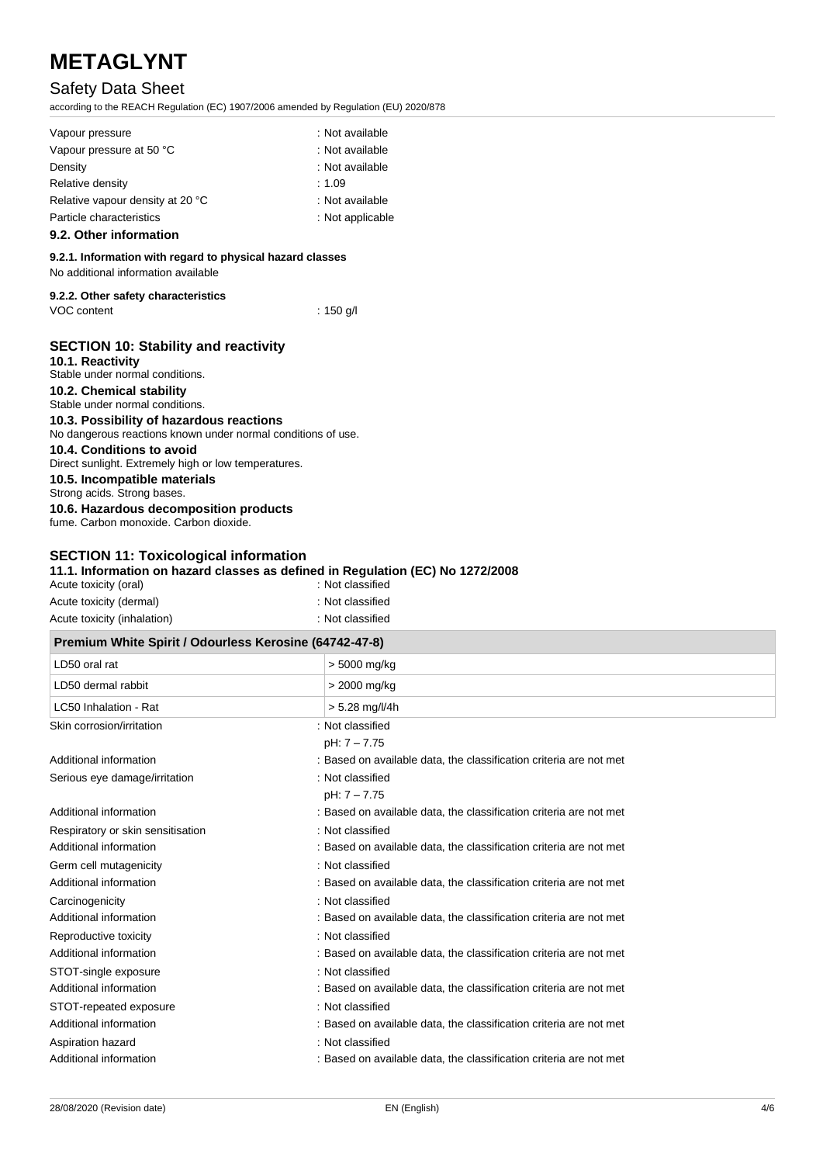# Safety Data Sheet

according to the REACH Regulation (EC) 1907/2006 amended by Regulation (EU) 2020/878

| Vapour pressure                  | : Not available  |
|----------------------------------|------------------|
| Vapour pressure at 50 °C         | : Not available  |
| Density                          | : Not available  |
| Relative density                 | : $1.09$         |
| Relative vapour density at 20 °C | : Not available  |
| Particle characteristics         | : Not applicable |
|                                  |                  |

# **9.2. Other information**

# **9.2.1. Information with regard to physical hazard classes**

No additional information available

| 9.2.2. Other safety characteristics |  |
|-------------------------------------|--|
|-------------------------------------|--|

VOC content : 150 g/l

| <b>SECTION 10: Stability and reactivity</b><br>10.1. Reactivity                   |
|-----------------------------------------------------------------------------------|
| Stable under normal conditions.                                                   |
| 10.2. Chemical stability                                                          |
| Stable under normal conditions.                                                   |
| 10.3. Possibility of hazardous reactions                                          |
| No dangerous reactions known under normal conditions of use.                      |
| 10.4. Conditions to avoid<br>Direct sunlight. Extremely high or low temperatures. |
| 10.5. Incompatible materials<br>Strong acids. Strong bases.                       |
| 10.6. Hazardous decomposition products<br>fume, Carbon monoxide, Carbon dioxide.  |
|                                                                                   |

# **SECTION 11: Toxicological information**

# **11.1. Information on hazard classes as defined in Regulation (EC) No 1272/2008**

| Acute toxicity (oral)       | : Not classified |
|-----------------------------|------------------|
| Acute toxicity (dermal)     | : Not classified |
| Acute toxicity (inhalation) | : Not classified |

| Premium White Spirit / Odourless Kerosine (64742-47-8) |                                                                    |  |
|--------------------------------------------------------|--------------------------------------------------------------------|--|
| LD50 oral rat                                          | > 5000 mg/kg                                                       |  |
| LD50 dermal rabbit                                     | > 2000 mg/kg                                                       |  |
| LC50 Inhalation - Rat                                  | > 5.28 mg/l/4h                                                     |  |
| Skin corrosion/irritation                              | : Not classified                                                   |  |
|                                                        | pH: 7 - 7.75                                                       |  |
| Additional information                                 | : Based on available data, the classification criteria are not met |  |
| Serious eye damage/irritation                          | : Not classified                                                   |  |
|                                                        | pH: 7 - 7.75                                                       |  |
| Additional information                                 | : Based on available data, the classification criteria are not met |  |
| Respiratory or skin sensitisation                      | : Not classified                                                   |  |
| Additional information                                 | : Based on available data, the classification criteria are not met |  |
| Germ cell mutagenicity                                 | : Not classified                                                   |  |
| Additional information                                 | : Based on available data, the classification criteria are not met |  |
| Carcinogenicity                                        | : Not classified                                                   |  |
| Additional information                                 | : Based on available data, the classification criteria are not met |  |
| Reproductive toxicity                                  | : Not classified                                                   |  |
| Additional information                                 | : Based on available data, the classification criteria are not met |  |
| STOT-single exposure                                   | : Not classified                                                   |  |
| Additional information                                 | : Based on available data, the classification criteria are not met |  |
| STOT-repeated exposure                                 | : Not classified                                                   |  |
| Additional information                                 | : Based on available data, the classification criteria are not met |  |
| Aspiration hazard                                      | : Not classified                                                   |  |
| Additional information                                 | : Based on available data, the classification criteria are not met |  |
|                                                        |                                                                    |  |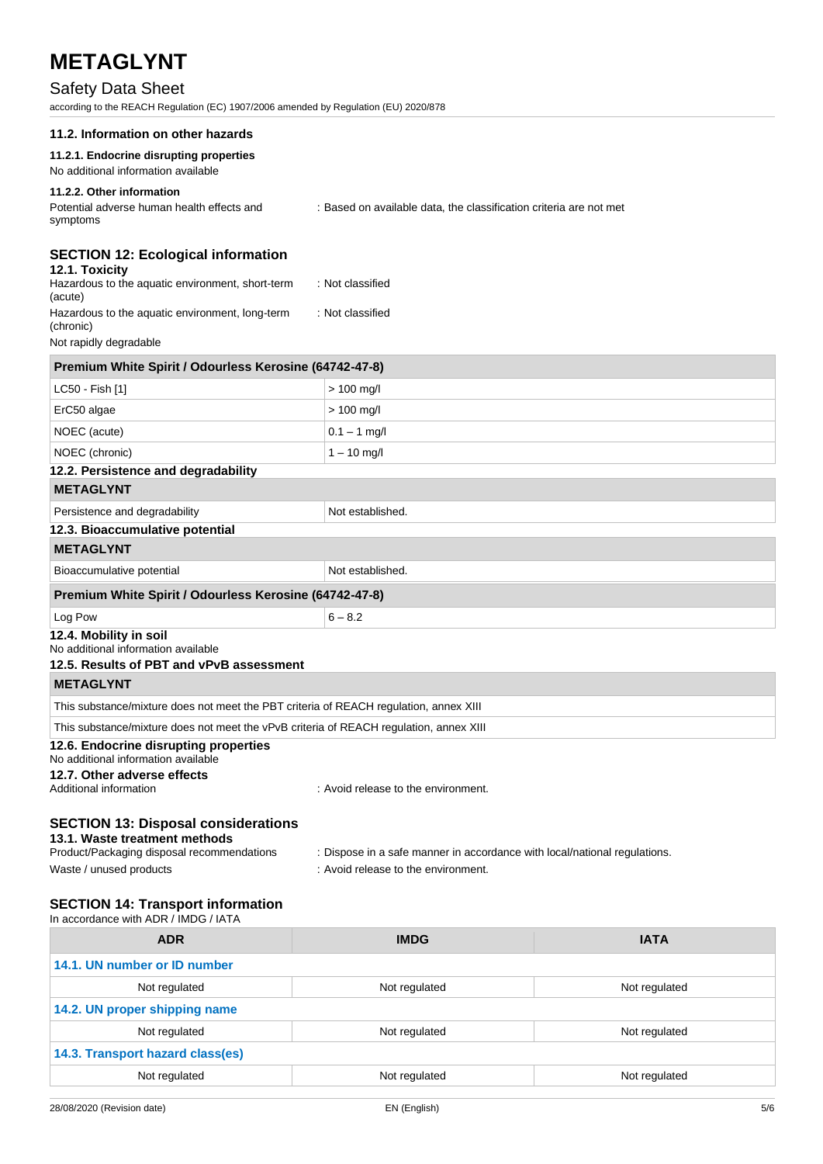# Safety Data Sheet

according to the REACH Regulation (EC) 1907/2006 amended by Regulation (EU) 2020/878

| according to the REACH Regulation (EC) 1907/2006 amended by Regulation (EU) 2020/878                                       |                                                                                                                  |
|----------------------------------------------------------------------------------------------------------------------------|------------------------------------------------------------------------------------------------------------------|
| 11.2. Information on other hazards                                                                                         |                                                                                                                  |
| 11.2.1. Endocrine disrupting properties<br>No additional information available                                             |                                                                                                                  |
| 11.2.2. Other information<br>Potential adverse human health effects and<br>symptoms                                        | : Based on available data, the classification criteria are not met                                               |
| <b>SECTION 12: Ecological information</b><br>12.1. Toxicity<br>Hazardous to the aquatic environment, short-term<br>(acute) | : Not classified                                                                                                 |
| Hazardous to the aquatic environment, long-term<br>(chronic)                                                               | : Not classified                                                                                                 |
| Not rapidly degradable                                                                                                     |                                                                                                                  |
| Premium White Spirit / Odourless Kerosine (64742-47-8)                                                                     |                                                                                                                  |
| LC50 - Fish [1]                                                                                                            | $> 100$ mg/l                                                                                                     |
| ErC50 algae                                                                                                                | $> 100$ mg/l                                                                                                     |
| NOEC (acute)                                                                                                               | $0.1 - 1$ mg/l                                                                                                   |
| NOEC (chronic)                                                                                                             | $1 - 10$ mg/l                                                                                                    |
| 12.2. Persistence and degradability                                                                                        |                                                                                                                  |
| <b>METAGLYNT</b>                                                                                                           |                                                                                                                  |
| Persistence and degradability                                                                                              | Not established.                                                                                                 |
| 12.3. Bioaccumulative potential                                                                                            |                                                                                                                  |
| <b>METAGLYNT</b>                                                                                                           |                                                                                                                  |
| Bioaccumulative potential                                                                                                  | Not established.                                                                                                 |
| Premium White Spirit / Odourless Kerosine (64742-47-8)                                                                     |                                                                                                                  |
| Log Pow                                                                                                                    | $6 - 8.2$                                                                                                        |
| 12.4. Mobility in soil<br>No additional information available<br>12.5. Results of PBT and vPvB assessment                  |                                                                                                                  |
| <b>METAGLYNT</b>                                                                                                           |                                                                                                                  |
| This substance/mixture does not meet the PBT criteria of REACH regulation, annex XIII                                      |                                                                                                                  |
| This substance/mixture does not meet the vPvB criteria of REACH regulation, annex XIII                                     |                                                                                                                  |
| 12.6. Endocrine disrupting properties<br>No additional information available                                               |                                                                                                                  |
| 12.7. Other adverse effects<br>Additional information                                                                      | : Avoid release to the environment.                                                                              |
| <b>SECTION 13: Disposal considerations</b><br>13.1. Waste treatment methods                                                |                                                                                                                  |
| Product/Packaging disposal recommendations<br>Waste / unused products                                                      | : Dispose in a safe manner in accordance with local/national regulations.<br>: Avoid release to the environment. |
|                                                                                                                            |                                                                                                                  |
| <b>SECTION 14: Transport information</b>                                                                                   |                                                                                                                  |

| <b>ADR</b>                       | <b>IMDG</b>   | <b>IATA</b>   |
|----------------------------------|---------------|---------------|
| 14.1. UN number or ID number     |               |               |
| Not regulated                    | Not regulated | Not regulated |
| 14.2. UN proper shipping name    |               |               |
| Not regulated                    | Not regulated | Not regulated |
| 14.3. Transport hazard class(es) |               |               |
| Not regulated                    | Not regulated | Not regulated |
|                                  |               |               |

In accordance with ADR / IMDG / IATA